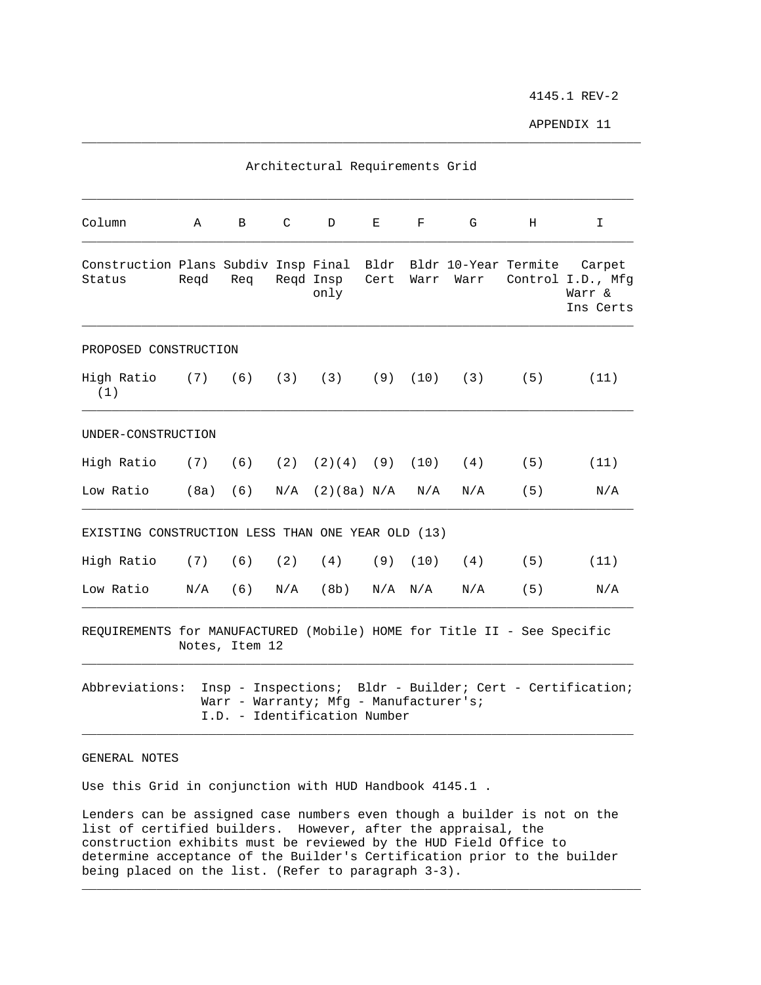4145.1 REV-2

APPENDIX 11

|                                                                         |      |                |   | Architectural Requirements Grid                                        |              |             |      |     |                                                                         |
|-------------------------------------------------------------------------|------|----------------|---|------------------------------------------------------------------------|--------------|-------------|------|-----|-------------------------------------------------------------------------|
| Column                                                                  | Α    | B              | C | D                                                                      | Е            | F           | G    | H   | I.                                                                      |
| Construction Plans Subdiv Insp Final<br>Status                          | Regd | Req            |   | Regd Insp<br>only                                                      | Bldr<br>Cert | Warr        | Warr |     | Bldr 10-Year Termite Carpet<br>Control I.D., Mfq<br>Warr &<br>Ins Certs |
| PROPOSED CONSTRUCTION                                                   |      |                |   |                                                                        |              |             |      |     |                                                                         |
| High Ratio (7) (6) (3) (3) (9) (10) (3) (5)<br>(1)                      |      |                |   |                                                                        |              |             |      |     | (11)                                                                    |
| UNDER-CONSTRUCTION                                                      |      |                |   |                                                                        |              |             |      |     |                                                                         |
| High Ratio (7) (6) (2) (2)(4) (9) (10) (4) (5)                          |      |                |   |                                                                        |              |             |      |     | (11)                                                                    |
| Low Ratio                                                               |      | (8a) (6)       |   | $N/A$ (2)(8a) $N/A$ $N/A$                                              |              |             | N/A  | (5) | N/A                                                                     |
| EXISTING CONSTRUCTION LESS THAN ONE YEAR OLD (13)                       |      |                |   |                                                                        |              |             |      |     |                                                                         |
| High Ratio (7) (6) (2) (4) (9) (10) (4) (5)                             |      |                |   |                                                                        |              |             |      |     | (11)                                                                    |
| Low Ratio                                                               |      | $N/A$ (6)      |   | $N/A$ (8b)                                                             |              | $N/A$ $N/A$ | N/A  | (5) | N/A                                                                     |
| REQUIREMENTS for MANUFACTURED (Mobile) HOME for Title II - See Specific |      | Notes, Item 12 |   |                                                                        |              |             |      |     |                                                                         |
| Abbreviations:                                                          |      |                |   | Warr - Warranty; Mfg - Manufacturer's;<br>I.D. - Identification Number |              |             |      |     | Insp - Inspections; Bldr - Builder; Cert - Certification;               |
| GENERAL NOTES                                                           |      |                |   |                                                                        |              |             |      |     |                                                                         |

\_\_\_\_\_\_\_\_\_\_\_\_\_\_\_\_\_\_\_\_\_\_\_\_\_\_\_\_\_\_\_\_\_\_\_\_\_\_\_\_\_\_\_\_\_\_\_\_\_\_\_\_\_\_\_\_\_\_\_\_\_\_\_\_\_\_\_\_\_\_\_\_\_\_\_

Use this Grid in conjunction with HUD Handbook 4145.1 .

Lenders can be assigned case numbers even though a builder is not on the list of certified builders. However, after the appraisal, the construction exhibits must be reviewed by the HUD Field Office to determine acceptance of the Builder's Certification prior to the builder being placed on the list. (Refer to paragraph 3-3).

\_\_\_\_\_\_\_\_\_\_\_\_\_\_\_\_\_\_\_\_\_\_\_\_\_\_\_\_\_\_\_\_\_\_\_\_\_\_\_\_\_\_\_\_\_\_\_\_\_\_\_\_\_\_\_\_\_\_\_\_\_\_\_\_\_\_\_\_\_\_\_\_\_\_\_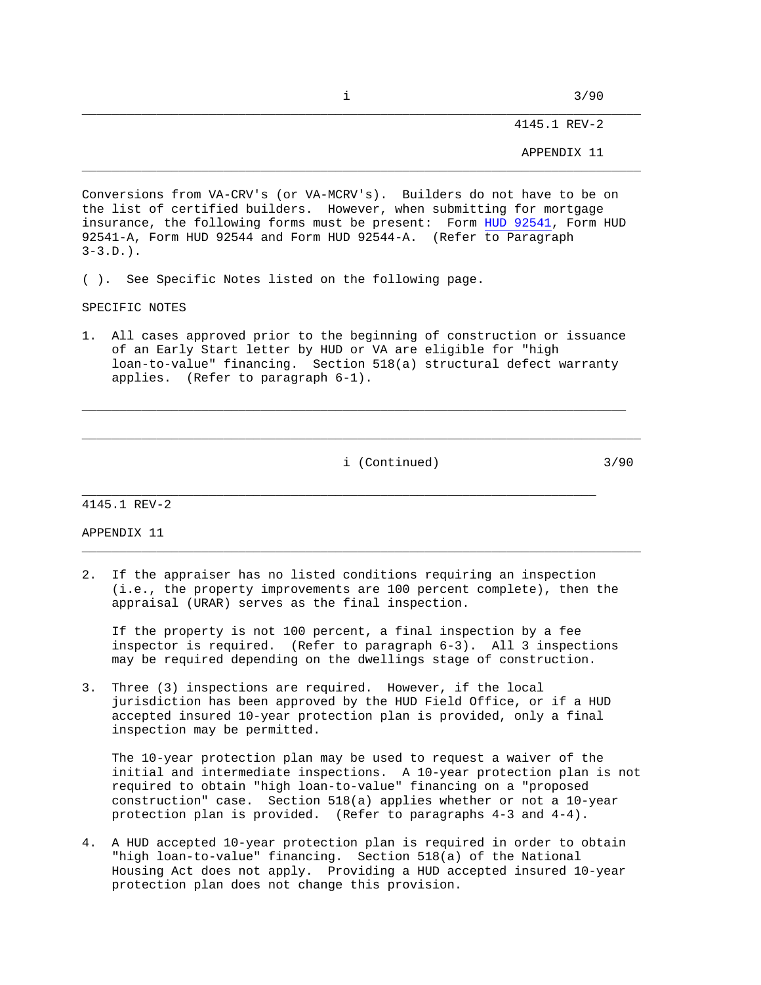$\frac{1}{3/90}$ 

4145.1 REV-2

APPENDIX 11

Conversions from VA-CRV's (or VA-MCRV's). Builders do not have to be on the list of certified builders. However, when submitting for mortgage insurance, the following forms must be present: Form HUD 92541, Form HUD 92541-A, Form HUD 92544 and Form HUD 92544-A. (Refer to Paragraph  $3-3.D.$ .

( ). See Specific Notes listed on the following page.

SPECIFIC NOTES

1. All cases approved prior to the beginning of construction or issuance of an Early Start letter by HUD or VA are eligible for "high loan-to-value" financing. Section 518(a) structural defect warranty applies. (Refer to paragraph 6-1).

 $\_$  , and the set of the set of the set of the set of the set of the set of the set of the set of the set of the set of the set of the set of the set of the set of the set of the set of the set of the set of the set of th

\_\_\_\_\_\_\_\_\_\_\_\_\_\_\_\_\_\_\_\_\_\_\_\_\_\_\_\_\_\_\_\_\_\_\_\_\_\_\_\_\_\_\_\_\_\_\_\_\_\_\_\_\_\_\_\_\_\_\_\_\_\_\_\_\_\_\_\_\_\_\_\_\_\_\_

i (Continued) 3/90

4145.1 REV-2

APPENDIX 11

2. If the appraiser has no listed conditions requiring an inspection (i.e., the property improvements are 100 percent complete), then the appraisal (URAR) serves as the final inspection.

\_\_\_\_\_\_\_\_\_\_\_\_\_\_\_\_\_\_\_\_\_\_\_\_\_\_\_\_\_\_\_\_\_\_\_\_\_\_\_\_\_\_\_\_\_\_\_\_\_\_\_\_\_\_\_\_\_\_\_\_\_\_\_\_\_\_\_\_\_

 If the property is not 100 percent, a final inspection by a fee inspector is required. (Refer to paragraph 6-3). All 3 inspections may be required depending on the dwellings stage of construction.

\_\_\_\_\_\_\_\_\_\_\_\_\_\_\_\_\_\_\_\_\_\_\_\_\_\_\_\_\_\_\_\_\_\_\_\_\_\_\_\_\_\_\_\_\_\_\_\_\_\_\_\_\_\_\_\_\_\_\_\_\_\_\_\_\_\_\_\_\_\_\_\_\_\_\_

3. Three (3) inspections are required. However, if the local jurisdiction has been approved by the HUD Field Office, or if a HUD accepted insured 10-year protection plan is provided, only a final inspection may be permitted.

 The 10-year protection plan may be used to request a waiver of the initial and intermediate inspections. A 10-year protection plan is not required to obtain "high loan-to-value" financing on a "proposed construction" case. Section 518(a) applies whether or not a 10-year protection plan is provided. (Refer to paragraphs 4-3 and 4-4).

4. A HUD accepted 10-year protection plan is required in order to obtain "high loan-to-value" financing. Section 518(a) of the National Housing Act does not apply. Providing a HUD accepted insured 10-year protection plan does not change this provision.

\_\_\_\_\_\_\_\_\_\_\_\_\_\_\_\_\_\_\_\_\_\_\_\_\_\_\_\_\_\_\_\_\_\_\_\_\_\_\_\_\_\_\_\_\_\_\_\_\_\_\_\_\_\_\_\_\_\_\_\_\_\_\_\_\_\_\_\_\_\_\_\_\_\_\_

\_\_\_\_\_\_\_\_\_\_\_\_\_\_\_\_\_\_\_\_\_\_\_\_\_\_\_\_\_\_\_\_\_\_\_\_\_\_\_\_\_\_\_\_\_\_\_\_\_\_\_\_\_\_\_\_\_\_\_\_\_\_\_\_\_\_\_\_\_\_\_\_\_\_\_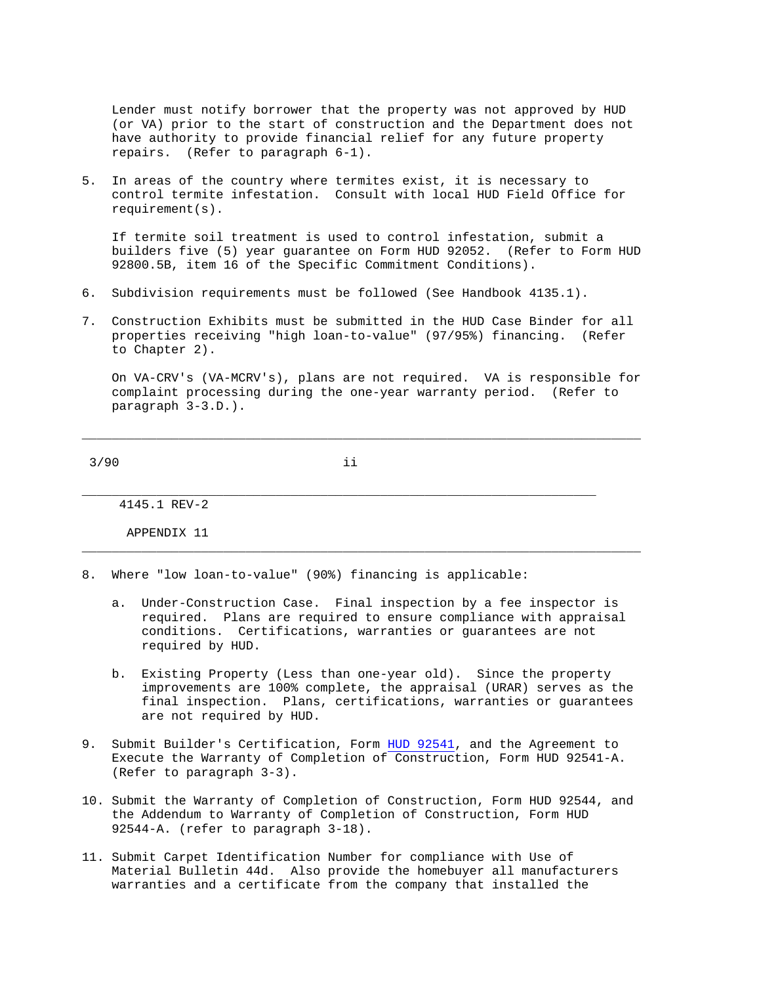Lender must notify borrower that the property was not approved by HUD (or VA) prior to the start of construction and the Department does not have authority to provide financial relief for any future property repairs. (Refer to paragraph 6-1).

5. In areas of the country where termites exist, it is necessary to control termite infestation. Consult with local HUD Field Office for requirement(s).

 If termite soil treatment is used to control infestation, submit a builders five (5) year guarantee on Form HUD 92052. (Refer to Form HUD 92800.5B, item 16 of the Specific Commitment Conditions).

- 6. Subdivision requirements must be followed (See Handbook 4135.1).
- 7. Construction Exhibits must be submitted in the HUD Case Binder for all properties receiving "high loan-to-value" (97/95%) financing. (Refer to Chapter 2).

 On VA-CRV's (VA-MCRV's), plans are not required. VA is responsible for complaint processing during the one-year warranty period. (Refer to paragraph 3-3.D.).

\_\_\_\_\_\_\_\_\_\_\_\_\_\_\_\_\_\_\_\_\_\_\_\_\_\_\_\_\_\_\_\_\_\_\_\_\_\_\_\_\_\_\_\_\_\_\_\_\_\_\_\_\_\_\_\_\_\_\_\_\_\_\_\_\_\_\_\_\_\_\_\_\_\_\_

 $3/90$  ii

\_\_\_\_\_\_\_\_\_\_\_\_\_\_\_\_\_\_\_\_\_\_\_\_\_\_\_\_\_\_\_\_\_\_\_\_\_\_\_\_\_\_\_\_\_\_\_\_\_\_\_\_\_\_\_\_\_\_\_\_\_\_\_\_\_\_\_\_\_ 4145.1 REV-2

APPENDIX 11

8. Where "low loan-to-value" (90%) financing is applicable:

 a. Under-Construction Case. Final inspection by a fee inspector is required. Plans are required to ensure compliance with appraisal conditions. Certifications, warranties or guarantees are not required by HUD.

\_\_\_\_\_\_\_\_\_\_\_\_\_\_\_\_\_\_\_\_\_\_\_\_\_\_\_\_\_\_\_\_\_\_\_\_\_\_\_\_\_\_\_\_\_\_\_\_\_\_\_\_\_\_\_\_\_\_\_\_\_\_\_\_\_\_\_\_\_\_\_\_\_\_\_

- b. Existing Property (Less than one-year old). Since the property improvements are 100% complete, the appraisal (URAR) serves as the final inspection. Plans, certifications, warranties or guarantees are not required by HUD.
- 9. Submit Builder's Certification, Form HUD 92541, and the Agreement to Execute the Warranty of Completion of Construction, Form HUD 92541-A. (Refer to paragraph 3-3).
- 10. Submit the Warranty of Completion of Construction, Form HUD 92544, and the Addendum to Warranty of Completion of Construction, Form HUD 92544-A. (refer to paragraph 3-18).
- 11. Submit Carpet Identification Number for compliance with Use of Material Bulletin 44d. Also provide the homebuyer all manufacturers warranties and a certificate from the company that installed the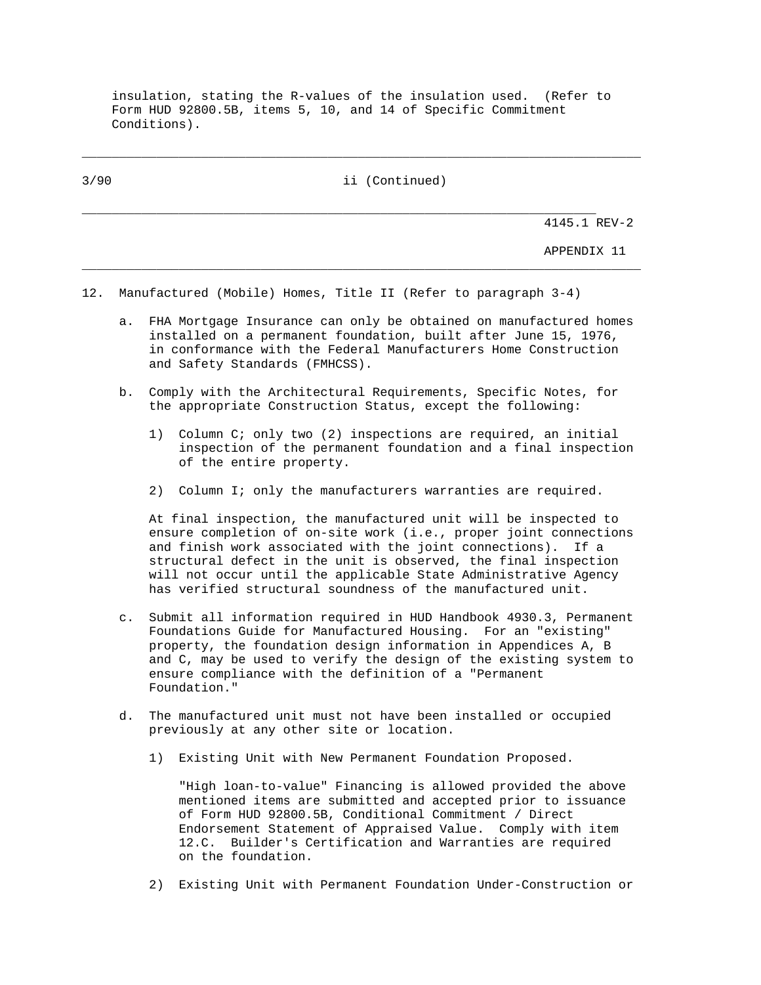insulation, stating the R-values of the insulation used. (Refer to Form HUD 92800.5B, items 5, 10, and 14 of Specific Commitment Conditions).

\_\_\_\_\_\_\_\_\_\_\_\_\_\_\_\_\_\_\_\_\_\_\_\_\_\_\_\_\_\_\_\_\_\_\_\_\_\_\_\_\_\_\_\_\_\_\_\_\_\_\_\_\_\_\_\_\_\_\_\_\_\_\_\_\_\_\_\_\_\_\_\_\_\_\_ 3/90 ii (Continued) \_\_\_\_\_\_\_\_\_\_\_\_\_\_\_\_\_\_\_\_\_\_\_\_\_\_\_\_\_\_\_\_\_\_\_\_\_\_\_\_\_\_\_\_\_\_\_\_\_\_\_\_\_\_\_\_\_\_\_\_\_\_\_\_\_\_\_\_\_ 4145.1 REV-2 APPENDIX 11 \_\_\_\_\_\_\_\_\_\_\_\_\_\_\_\_\_\_\_\_\_\_\_\_\_\_\_\_\_\_\_\_\_\_\_\_\_\_\_\_\_\_\_\_\_\_\_\_\_\_\_\_\_\_\_\_\_\_\_\_\_\_\_\_\_\_\_\_\_\_\_\_\_\_\_ 12. Manufactured (Mobile) Homes, Title II (Refer to paragraph 3-4)

- a. FHA Mortgage Insurance can only be obtained on manufactured homes installed on a permanent foundation, built after June 15, 1976, in conformance with the Federal Manufacturers Home Construction and Safety Standards (FMHCSS).
- b. Comply with the Architectural Requirements, Specific Notes, for the appropriate Construction Status, except the following:
	- 1) Column C; only two (2) inspections are required, an initial inspection of the permanent foundation and a final inspection of the entire property.
	- 2) Column I; only the manufacturers warranties are required.

 At final inspection, the manufactured unit will be inspected to ensure completion of on-site work (i.e., proper joint connections and finish work associated with the joint connections). If a structural defect in the unit is observed, the final inspection will not occur until the applicable State Administrative Agency has verified structural soundness of the manufactured unit.

- c. Submit all information required in HUD Handbook 4930.3, Permanent Foundations Guide for Manufactured Housing. For an "existing" property, the foundation design information in Appendices A, B and C, may be used to verify the design of the existing system to ensure compliance with the definition of a "Permanent Foundation."
- d. The manufactured unit must not have been installed or occupied previously at any other site or location.
	- 1) Existing Unit with New Permanent Foundation Proposed.

 "High loan-to-value" Financing is allowed provided the above mentioned items are submitted and accepted prior to issuance of Form HUD 92800.5B, Conditional Commitment / Direct Endorsement Statement of Appraised Value. Comply with item 12.C. Builder's Certification and Warranties are required on the foundation.

2) Existing Unit with Permanent Foundation Under-Construction or